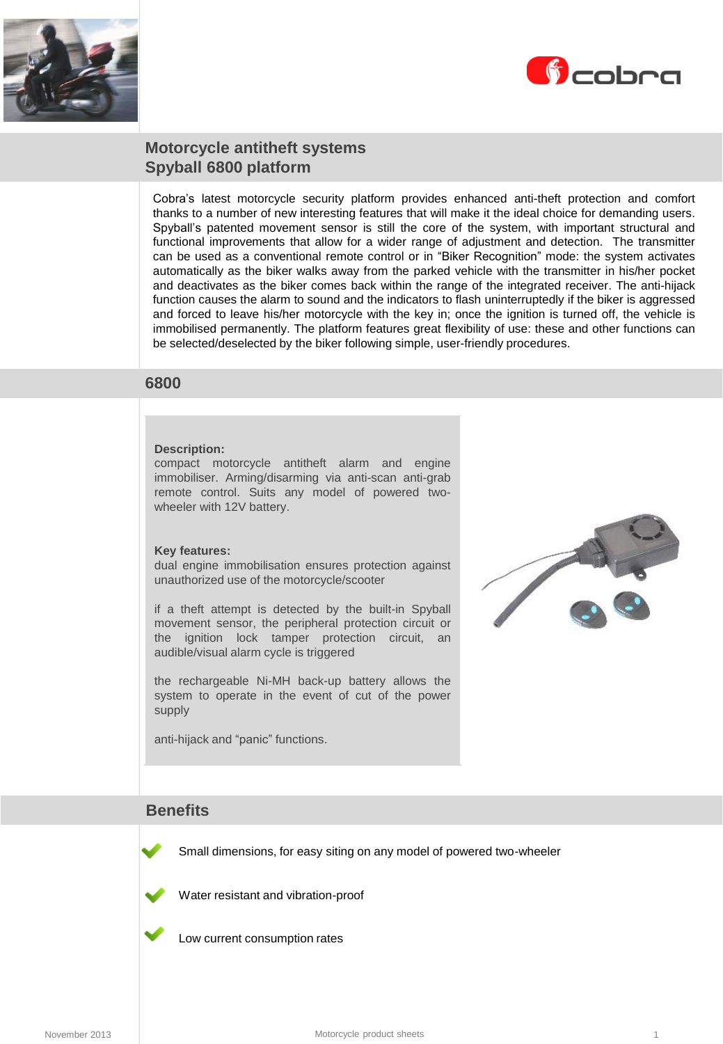



# **Motorcycle antitheft systems Spyball 6800 platform**

Cobra's latest motorcycle security platform provides enhanced anti-theft protection and comfort thanks to a number of new interesting features that will make it the ideal choice for demanding users. Spyball's patented movement sensor is still the core of the system, with important structural and functional improvements that allow for a wider range of adjustment and detection. The transmitter can be used as a conventional remote control or in "Biker Recognition" mode: the system activates automatically as the biker walks away from the parked vehicle with the transmitter in his/her pocket and deactivates as the biker comes back within the range of the integrated receiver. The anti-hijack function causes the alarm to sound and the indicators to flash uninterruptedly if the biker is aggressed and forced to leave his/her motorcycle with the key in; once the ignition is turned off, the vehicle is immobilised permanently. The platform features great flexibility of use: these and other functions can be selected/deselected by the biker following simple, user-friendly procedures.

## **6800**

#### **Description:**

compact motorcycle antitheft alarm and engine immobiliser. Arming/disarming via anti-scan anti-grab remote control. Suits any model of powered twowheeler with 12V battery.

#### **Key features:**

dual engine immobilisation ensures protection against unauthorized use of the motorcycle/scooter

if a theft attempt is detected by the built-in Spyball movement sensor, the peripheral protection circuit or the ignition lock tamper protection circuit, an audible/visual alarm cycle is triggered

the rechargeable Ni-MH back-up battery allows the system to operate in the event of cut of the power supply

anti-hijack and "panic" functions.



# **Benefits**

Small dimensions, for easy siting on any model of powered two-wheeler



Water resistant and vibration-proof

Low current consumption rates